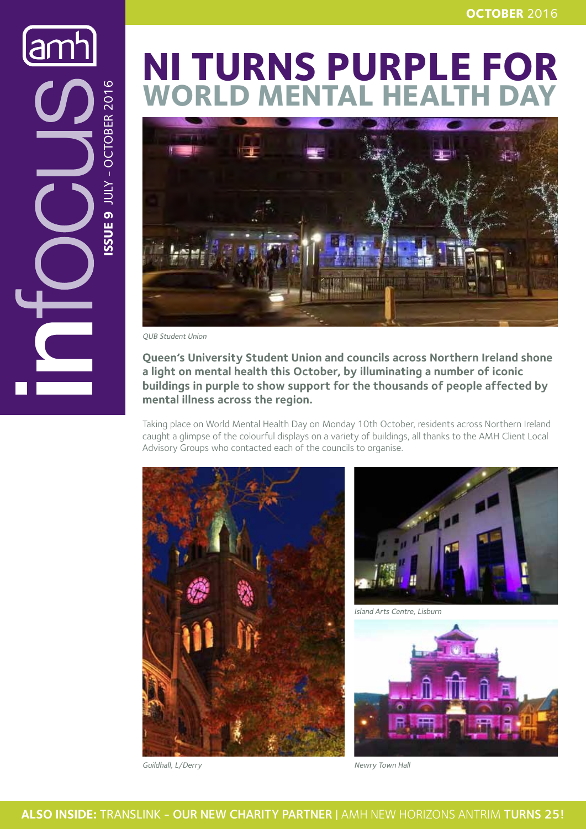**NI TURNS PURPLE FOR WORLD MENTAL HEALTH DAY**



QUB Student Union

**Issue 9** JULY - OCTOBER 2016

ISSUE 9 JULY - OCTOBER 2016

 $\overline{\mathbf{C}}$ 

**Queen's University Student Union and councils across Northern Ireland shone a light on mental health this October, by illuminating a number of iconic buildings in purple to show support for the thousands of people affected by mental illness across the region.**

Taking place on World Mental Health Day on Monday 10th October, residents across Northern Ireland caught a glimpse of the colourful displays on a variety of buildings, all thanks to the AMH Client Local Advisory Groups who contacted each of the councils to organise.



Guildhall, L/Derry



Island Arts Centre, Lisburn



Newry Town Hall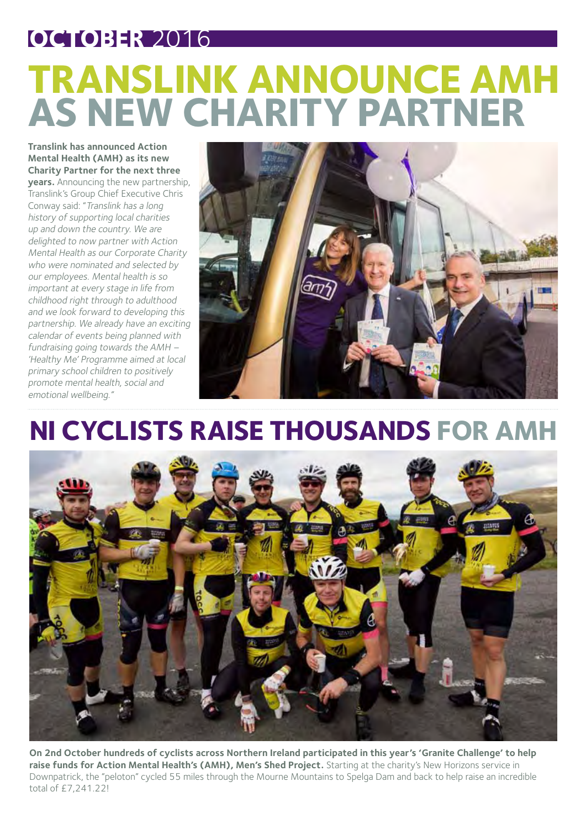### **OCTOBER** 2016

# **TRANSLINK ANNOUNCE AMH AS NEW CHARITY PARTNER**

**Translink has announced Action Mental Health (AMH) as its new Charity Partner for the next three** 

**years.** Announcing the new partnership, Translink's Group Chief Executive Chris Conway said: "Translink has a long history of supporting local charities up and down the country. We are delighted to now partner with Action Mental Health as our Corporate Charity who were nominated and selected by our employees. Mental health is so important at every stage in life from childhood right through to adulthood and we look forward to developing this partnership. We already have an exciting calendar of events being planned with fundraising going towards the AMH – 'Healthy Me' Programme aimed at local primary school children to positively promote mental health, social and emotional wellbeing."



#### **NI CYCLISTS RAISE THOUSANDS FOR AMH**



**On 2nd October hundreds of cyclists across Northern Ireland participated in this year's 'Granite Challenge' to help raise funds for Action Mental Health's (AMH), Men's Shed Project.** Starting at the charity's New Horizons service in Downpatrick, the "peloton" cycled 55 miles through the Mourne Mountains to Spelga Dam and back to help raise an incredible total of £7,241.22!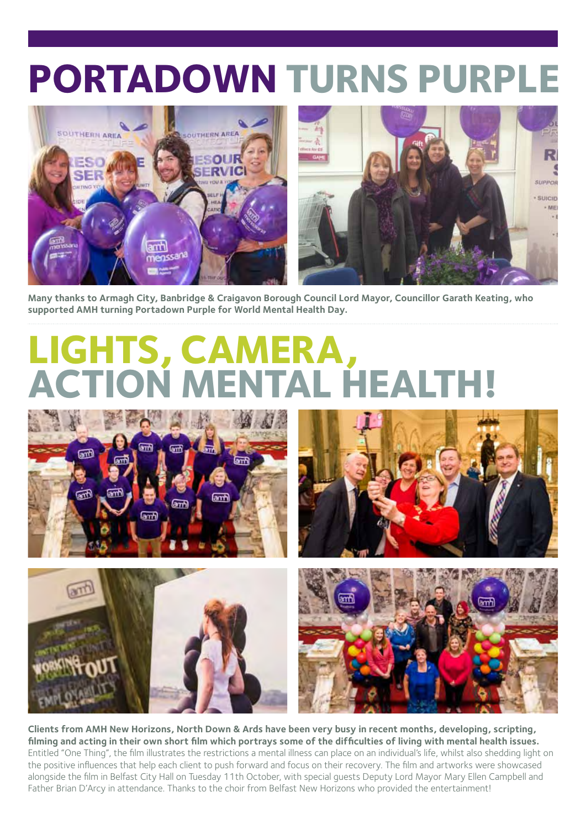# **PORTADOWN TURNS PURPLE**



**Many thanks to Armagh City, Banbridge & Craigavon Borough Council Lord Mayor, Councillor Garath Keating, who supported AMH turning Portadown Purple for World Mental Health Day.**

# **LIGHTS, CAMERA, ATAL HEALTH!**









**Clients from AMH New Horizons, North Down & Ards have been very busy in recent months, developing, scripting, filming and acting in their own short film which portrays some of the difficulties of living with mental health issues.**  Entitled "One Thing", the film illustrates the restrictions a mental illness can place on an individual's life, whilst also shedding light on the positive influences that help each client to push forward and focus on their recovery. The film and artworks were showcased alongside the film in Belfast City Hall on Tuesday 11th October, with special guests Deputy Lord Mayor Mary Ellen Campbell and Father Brian D'Arcy in attendance. Thanks to the choir from Belfast New Horizons who provided the entertainment!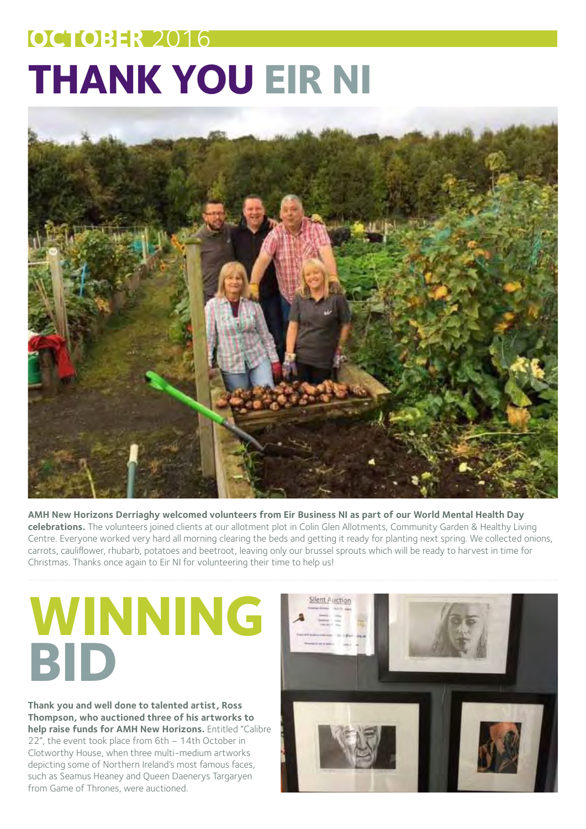# **OCTOBER** 2016 **THANK YOU EIR NI**



**AMH New Horizons Derriaghy welcomed volunteers from Eir Business NI as part of our World Mental Health Day celebrations.** The volunteers joined clients at our allotment plot in Colin Glen Allotments, Community Garden & Healthy Living Centre. Everyone worked very hard all morning clearing the beds and getting it ready for planting next spring. We collected onions, carrots, cauliflower, rhubarb, potatoes and beetroot, leaving only our brussel sprouts which will be ready to harvest in time for Christmas. Thanks once again to Eir NI for volunteering their time to help us!

# **WINNING BID**

**Thank you and well done to talented artist, Ross Thompson, who auctioned three of his artworks to help raise funds for AMH New Horizons.** Entitled "Calibre 22", the event took place from 6th – 14th October in Clotworthy House, when three multi-medium artworks depicting some of Northern Ireland's most famous faces, such as Seamus Heaney and Queen Daenerys Targaryen from Game of Thrones, were auctioned.

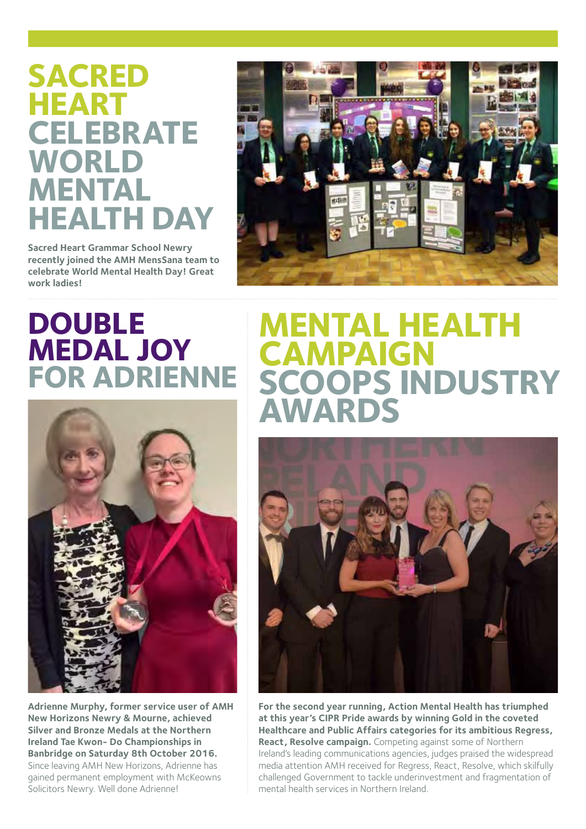#### **SACRED HEART CELEBRATE WORLD MENTAL HEALTH DAY**

**Sacred Heart Grammar School Newry recently joined the AMH MensSana team to celebrate World Mental Health Day! Great work ladies!**



#### **DOUBLE MEDAL JOY FOR ADRIENNE**



**Adrienne Murphy, former service user of AMH New Horizons Newry & Mourne, achieved Silver and Bronze Medals at the Northern Ireland Tae Kwon- Do Championships in Banbridge on Saturday 8th October 2016.**  Since leaving AMH New Horizons, Adrienne has gained permanent employment with McKeowns Solicitors Newry. Well done Adrienne!

#### **Mental Health Campaign SCOOPS INDUSTRY Award s**



**For the second year running, Action Mental Health has triumphed at this year's CIPR Pride awards by winning Gold in the coveted Healthcare and Public Affairs categories for its ambitious Regress, React, Resolve campaign.** Competing against some of Northern Ireland's leading communications agencies, judges praised the widespread media attention AMH received for Regress, React, Resolve, which skilfully challenged Government to tackle underinvestment and fragmentation of mental health services in Northern Ireland.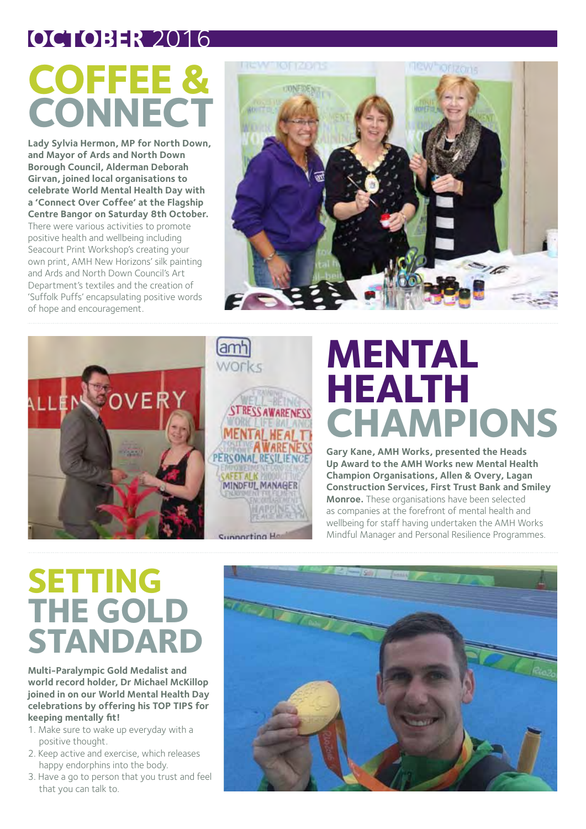#### **OCTOBER** 2016

# **COFFEE & CONNECT**

**Lady Sylvia Hermon, MP for North Down, and Mayor of Ards and North Down Borough Council, Alderman Deborah Girvan, joined local organisations to celebrate World Mental Health Day with a 'Connect Over Coffee' at the Flagship Centre Bangor on Saturday 8th October.**  There were various activities to promote positive health and wellbeing including Seacourt Print Workshop's creating your own print, AMH New Horizons' silk painting and Ards and North Down Council's Art Department's textiles and the creation of 'Suffolk Puffs' encapsulating positive words of hope and encouragement.





# **Mental Health Champion s**

**Gary Kane, AMH Works, presented the Heads Up Award to the AMH Works new Mental Health Champion Organisations, Allen & Overy, Lagan Construction Services, First Trust Bank and Smiley Monroe.** These organisations have been selected as companies at the forefront of mental health and wellbeing for staff having undertaken the AMH Works Mindful Manager and Personal Resilience Programmes.

## **SETTING THE GOLD STANDARD**

**Multi-Paralympic Gold Medalist and world record holder, Dr Michael McKillop joined in on our World Mental Health Day celebrations by offering his TOP TIPS for keeping mentally fit!**

- 1. Make sure to wake up everyday with a positive thought.
- 2. Keep active and exercise, which releases happy endorphins into the body.
- 3. Have a go to person that you trust and feel that you can talk to.

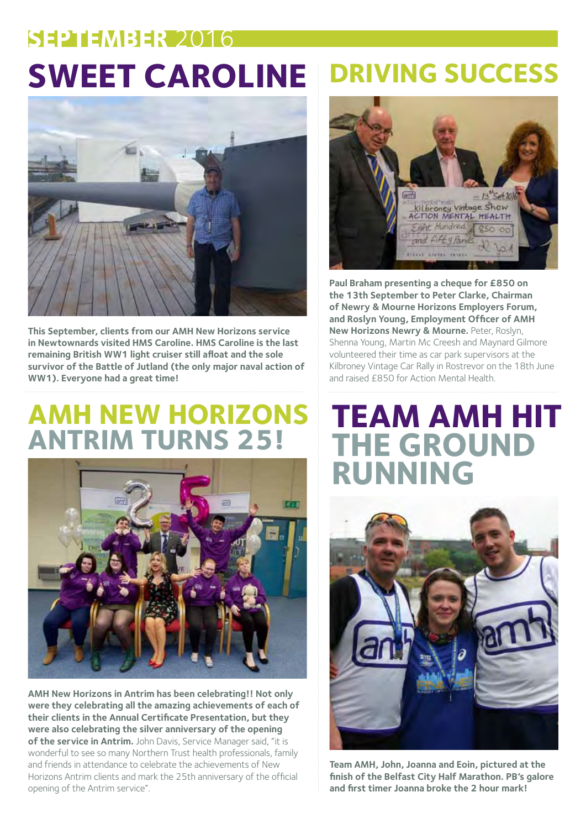# **SWEET CAROLINE DRIVING SUCCE SEPTEMBER** 2016



**This September, clients from our AMH New Horizons service in Newtownards visited HMS Caroline. HMS Caroline is the last remaining British WW1 light cruiser still afloat and the sole survivor of the Battle of Jutland (the only major naval action of WW1). Everyone had a great time!**

#### **AMH NEW HORIZONS ANTRIM TURNS 25!**



**AMH New Horizons in Antrim has been celebrating!! Not only were they celebrating all the amazing achievements of each of their clients in the Annual Certificate Presentation, but they were also celebrating the silver anniversary of the opening of the service in Antrim.** John Davis, Service Manager said, "it is wonderful to see so many Northern Trust health professionals, family and friends in attendance to celebrate the achievements of New Horizons Antrim clients and mark the 25th anniversary of the official opening of the Antrim service".



**Paul Braham presenting a cheque for £850 on the 13th September to Peter Clarke, Chairman of Newry & Mourne Horizons Employers Forum, and Roslyn Young, Employment Officer of AMH New Horizons Newry & Mourne.** Peter, Roslyn, Shenna Young, Martin Mc Creesh and Maynard Gilmore volunteered their time as car park supervisors at the Kilbroney Vintage Car Rally in Rostrevor on the 18th June and raised £850 for Action Mental Health.

#### **TEAM AMH HIT THE GROUND RUNNING**



**Team AMH, John, Joanna and Eoin, pictured at the finish of the Belfast City Half Marathon. PB's galore and first timer Joanna broke the 2 hour mark!**